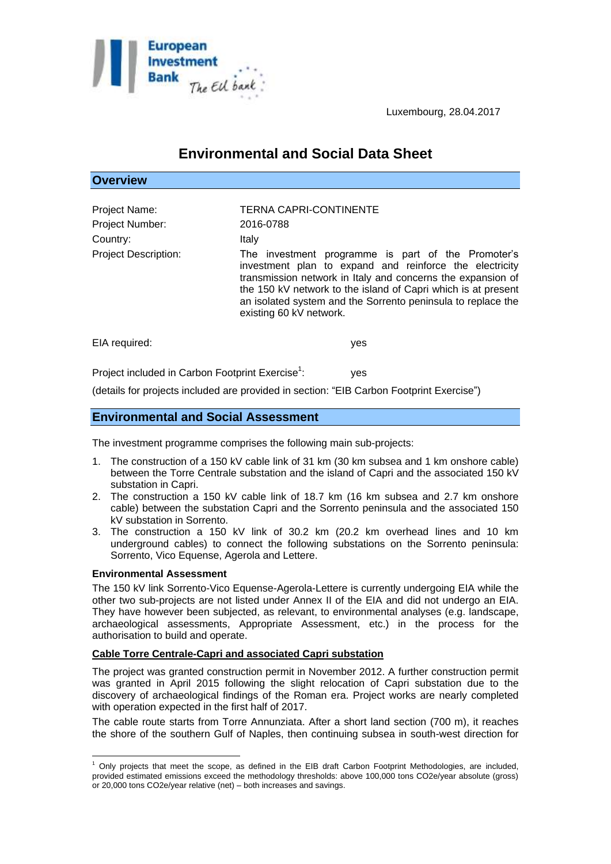

**Overview**

Luxembourg, 28.04.2017

# **Environmental and Social Data Sheet**

| OVGI VIGW                                           |                                                                                                                                                                                                                                                                                                                                          |
|-----------------------------------------------------|------------------------------------------------------------------------------------------------------------------------------------------------------------------------------------------------------------------------------------------------------------------------------------------------------------------------------------------|
| Project Name:<br><b>Project Number:</b><br>Country: | TERNA CAPRI-CONTINENTE<br>2016-0788<br>Italy                                                                                                                                                                                                                                                                                             |
| <b>Project Description:</b>                         | The investment programme is part of the Promoter's<br>investment plan to expand and reinforce the electricity<br>transmission network in Italy and concerns the expansion of<br>the 150 kV network to the island of Capri which is at present<br>an isolated system and the Sorrento peninsula to replace the<br>existing 60 kV network. |
| EIA required:                                       | yes                                                                                                                                                                                                                                                                                                                                      |

Project included in Carbon Footprint Exercise<sup>1</sup>: : yes

(details for projects included are provided in section: "EIB Carbon Footprint Exercise")

## **Environmental and Social Assessment**

The investment programme comprises the following main sub-projects:

- 1. The construction of a 150 kV cable link of 31 km (30 km subsea and 1 km onshore cable) between the Torre Centrale substation and the island of Capri and the associated 150 kV substation in Capri.
- 2. The construction a 150 kV cable link of 18.7 km (16 km subsea and 2.7 km onshore cable) between the substation Capri and the Sorrento peninsula and the associated 150 kV substation in Sorrento.
- 3. The construction a 150 kV link of 30.2 km (20.2 km overhead lines and 10 km underground cables) to connect the following substations on the Sorrento peninsula: Sorrento, Vico Equense, Agerola and Lettere.

#### **Environmental Assessment**

 $\overline{a}$ 

The 150 kV link Sorrento-Vico Equense-Agerola-Lettere is currently undergoing EIA while the other two sub-projects are not listed under Annex II of the EIA and did not undergo an EIA. They have however been subjected, as relevant, to environmental analyses (e.g. landscape, archaeological assessments, Appropriate Assessment, etc.) in the process for the authorisation to build and operate.

#### **Cable Torre Centrale-Capri and associated Capri substation**

The project was granted construction permit in November 2012. A further construction permit was granted in April 2015 following the slight relocation of Capri substation due to the discovery of archaeological findings of the Roman era. Project works are nearly completed with operation expected in the first half of 2017.

The cable route starts from Torre Annunziata. After a short land section (700 m), it reaches the shore of the southern Gulf of Naples, then continuing subsea in south-west direction for

<sup>1</sup> Only projects that meet the scope, as defined in the EIB draft Carbon Footprint Methodologies, are included, provided estimated emissions exceed the methodology thresholds: above 100,000 tons CO2e/year absolute (gross) or 20,000 tons CO2e/year relative (net) – both increases and savings.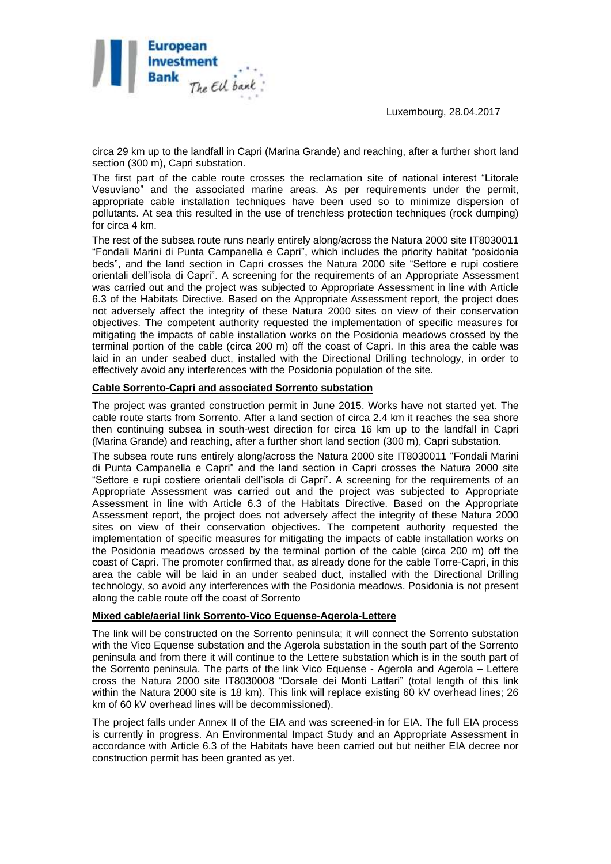Luxembourg, 28.04.2017



circa 29 km up to the landfall in Capri (Marina Grande) and reaching, after a further short land section (300 m), Capri substation.

The first part of the cable route crosses the reclamation site of national interest "Litorale Vesuviano" and the associated marine areas. As per requirements under the permit, appropriate cable installation techniques have been used so to minimize dispersion of pollutants. At sea this resulted in the use of trenchless protection techniques (rock dumping) for circa 4 km.

The rest of the subsea route runs nearly entirely along/across the Natura 2000 site IT8030011 "Fondali Marini di Punta Campanella e Capri", which includes the priority habitat "posidonia beds", and the land section in Capri crosses the Natura 2000 site "Settore e rupi costiere orientali dell'isola di Capri". A screening for the requirements of an Appropriate Assessment was carried out and the project was subjected to Appropriate Assessment in line with Article 6.3 of the Habitats Directive. Based on the Appropriate Assessment report, the project does not adversely affect the integrity of these Natura 2000 sites on view of their conservation objectives. The competent authority requested the implementation of specific measures for mitigating the impacts of cable installation works on the Posidonia meadows crossed by the terminal portion of the cable (circa 200 m) off the coast of Capri. In this area the cable was laid in an under seabed duct, installed with the Directional Drilling technology, in order to effectively avoid any interferences with the Posidonia population of the site.

## **Cable Sorrento-Capri and associated Sorrento substation**

The project was granted construction permit in June 2015. Works have not started yet. The cable route starts from Sorrento. After a land section of circa 2.4 km it reaches the sea shore then continuing subsea in south-west direction for circa 16 km up to the landfall in Capri (Marina Grande) and reaching, after a further short land section (300 m), Capri substation.

The subsea route runs entirely along/across the Natura 2000 site IT8030011 "Fondali Marini di Punta Campanella e Capri" and the land section in Capri crosses the Natura 2000 site "Settore e rupi costiere orientali dell'isola di Capri". A screening for the requirements of an Appropriate Assessment was carried out and the project was subjected to Appropriate Assessment in line with Article 6.3 of the Habitats Directive. Based on the Appropriate Assessment report, the project does not adversely affect the integrity of these Natura 2000 sites on view of their conservation objectives. The competent authority requested the implementation of specific measures for mitigating the impacts of cable installation works on the Posidonia meadows crossed by the terminal portion of the cable (circa 200 m) off the coast of Capri. The promoter confirmed that, as already done for the cable Torre-Capri, in this area the cable will be laid in an under seabed duct, installed with the Directional Drilling technology, so avoid any interferences with the Posidonia meadows. Posidonia is not present along the cable route off the coast of Sorrento

## **Mixed cable/aerial link Sorrento-Vico Equense-Agerola-Lettere**

The link will be constructed on the Sorrento peninsula; it will connect the Sorrento substation with the Vico Equense substation and the Agerola substation in the south part of the Sorrento peninsula and from there it will continue to the Lettere substation which is in the south part of the Sorrento peninsula. The parts of the link Vico Equense - Agerola and Agerola – Lettere cross the Natura 2000 site IT8030008 "Dorsale dei Monti Lattari" (total length of this link within the Natura 2000 site is 18 km). This link will replace existing 60 kV overhead lines; 26 km of 60 kV overhead lines will be decommissioned).

The project falls under Annex II of the EIA and was screened-in for EIA. The full EIA process is currently in progress. An Environmental Impact Study and an Appropriate Assessment in accordance with Article 6.3 of the Habitats have been carried out but neither EIA decree nor construction permit has been granted as yet.